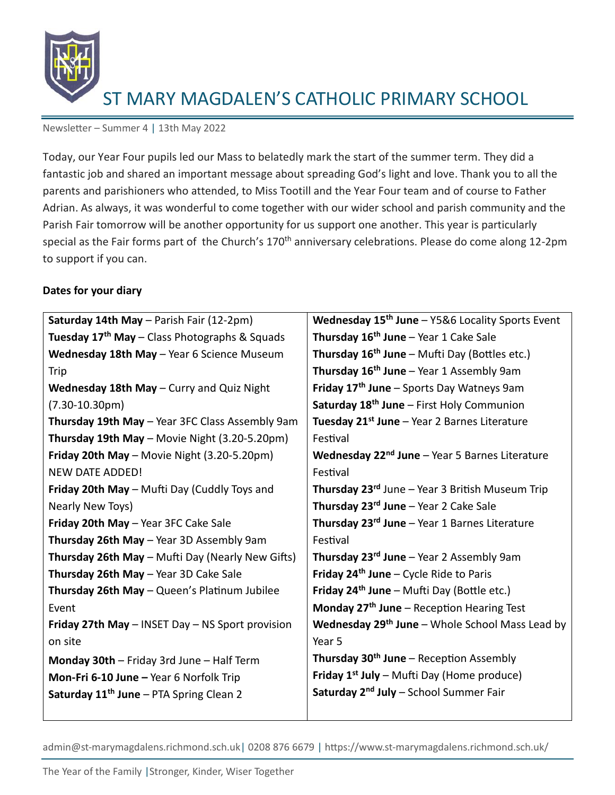

Newsletter – Summer 4 | 13th May 2022

Today, our Year Four pupils led our Mass to belatedly mark the start of the summer term. They did a fantastic job and shared an important message about spreading God's light and love. Thank you to all the parents and parishioners who attended, to Miss Tootill and the Year Four team and of course to Father Adrian. As always, it was wonderful to come together with our wider school and parish community and the Parish Fair tomorrow will be another opportunity for us support one another. This year is particularly special as the Fair forms part of the Church's 170<sup>th</sup> anniversary celebrations. Please do come along 12-2pm to support if you can.

#### **Dates for your diary**

| Saturday 14th May - Parish Fair (12-2pm)                  | Wednesday 15 <sup>th</sup> June - Y5&6 Locality Sports Event    |
|-----------------------------------------------------------|-----------------------------------------------------------------|
| Tuesday 17 <sup>th</sup> May – Class Photographs & Squads | Thursday 16 <sup>th</sup> June - Year 1 Cake Sale               |
| Wednesday 18th May - Year 6 Science Museum                | <b>Thursday 16<sup>th</sup> June</b> – Mufti Day (Bottles etc.) |
| Trip                                                      | Thursday $16th$ June – Year 1 Assembly 9am                      |
| Wednesday 18th May - Curry and Quiz Night                 | Friday 17 <sup>th</sup> June - Sports Day Watneys 9am           |
| $(7.30 - 10.30pm)$                                        | Saturday 18 <sup>th</sup> June - First Holy Communion           |
| Thursday 19th May - Year 3FC Class Assembly 9am           | Tuesday 21 <sup>st</sup> June – Year 2 Barnes Literature        |
| Thursday 19th May - Movie Night (3.20-5.20pm)             | Festival                                                        |
| Friday 20th May - Movie Night (3.20-5.20pm)               | Wednesday $22nd$ June – Year 5 Barnes Literature                |
| <b>NEW DATE ADDED!</b>                                    | Festival                                                        |
| Friday 20th May - Mufti Day (Cuddly Toys and              | Thursday 23rd June - Year 3 British Museum Trip                 |
| Nearly New Toys)                                          | Thursday 23rd June - Year 2 Cake Sale                           |
| Friday 20th May - Year 3FC Cake Sale                      | Thursday 23rd June - Year 1 Barnes Literature                   |
| Thursday 26th May - Year 3D Assembly 9am                  | Festival                                                        |
| Thursday 26th May - Mufti Day (Nearly New Gifts)          | <b>Thursday 23<sup>rd</sup> June</b> – Year 2 Assembly 9am      |
| Thursday 26th May - Year 3D Cake Sale                     | <b>Friday 24th June – Cycle Ride to Paris</b>                   |
| Thursday 26th May - Queen's Platinum Jubilee              | Friday $24th$ June – Mufti Day (Bottle etc.)                    |
| Event                                                     | Monday $27th$ June – Reception Hearing Test                     |
| Friday 27th May - INSET Day - NS Sport provision          | <b>Wednesday 29th June</b> – Whole School Mass Lead by          |
| on site                                                   | Year 5                                                          |
| Monday 30th - Friday 3rd June - Half Term                 | Thursday 30 <sup>th</sup> June – Reception Assembly             |
| Mon-Fri 6-10 June - Year 6 Norfolk Trip                   | Friday $1^{st}$ July – Mufti Day (Home produce)                 |
| Saturday 11 <sup>th</sup> June - PTA Spring Clean 2       | Saturday 2 <sup>nd</sup> July - School Summer Fair              |
|                                                           |                                                                 |

admin@st-marymagdalens.richmond.sch.uk| 0208 876 6679 | https://www.st-marymagdalens.richmond.sch.uk/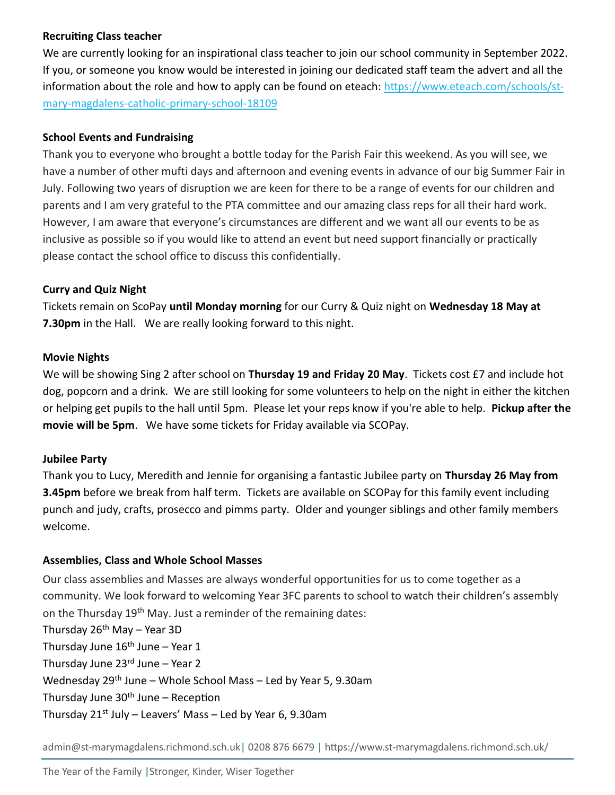### **Recruiting Class teacher**

We are currently looking for an inspirational class teacher to join our school community in September 2022. If you, or someone you know would be interested in joining our dedicated staff team the advert and all the information about the role and how to apply can be found on eteach: [https://www.eteach.com/schools/st](https://www.eteach.com/schools/st-mary-magdalens-catholic-primary-school-18109)[mary-magdalens-catholic-primary-school-18109](https://www.eteach.com/schools/st-mary-magdalens-catholic-primary-school-18109)

## **School Events and Fundraising**

Thank you to everyone who brought a bottle today for the Parish Fair this weekend. As you will see, we have a number of other mufti days and afternoon and evening events in advance of our big Summer Fair in July. Following two years of disruption we are keen for there to be a range of events for our children and parents and I am very grateful to the PTA committee and our amazing class reps for all their hard work. However, I am aware that everyone's circumstances are different and we want all our events to be as inclusive as possible so if you would like to attend an event but need support financially or practically please contact the school office to discuss this confidentially.

# **Curry and Quiz Night**

Tickets remain on ScoPay **until Monday morning** for our Curry & Quiz night on **Wednesday 18 May at 7.30pm** in the Hall. We are really looking forward to this night.

## **Movie Nights**

We will be showing Sing 2 after school on **Thursday 19 and Friday 20 May**. Tickets cost £7 and include hot dog, popcorn and a drink. We are still looking for some volunteers to help on the night in either the kitchen or helping get pupils to the hall until 5pm. Please let your reps know if you're able to help. **Pickup after the movie will be 5pm**. We have some tickets for Friday available via SCOPay.

# **Jubilee Party**

Thank you to Lucy, Meredith and Jennie for organising a fantastic Jubilee party on **Thursday 26 May from 3.45pm** before we break from half term. Tickets are available on SCOPay for this family event including punch and judy, crafts, prosecco and pimms party. Older and younger siblings and other family members welcome.

# **Assemblies, Class and Whole School Masses**

Our class assemblies and Masses are always wonderful opportunities for us to come together as a community. We look forward to welcoming Year 3FC parents to school to watch their children's assembly on the Thursday 19<sup>th</sup> May. Just a reminder of the remaining dates: Thursday  $26<sup>th</sup>$  May – Year 3D

Thursday June  $16<sup>th</sup>$  June – Year 1 Thursday June  $23<sup>rd</sup>$  June – Year 2

Wednesday 29<sup>th</sup> June – Whole School Mass – Led by Year 5, 9.30am

Thursday June  $30<sup>th</sup>$  June – Reception

Thursday  $21^{st}$  July – Leavers' Mass – Led by Year 6, 9.30am

admin@st-marymagdalens.richmond.sch.uk| 0208 876 6679 | https://www.st-marymagdalens.richmond.sch.uk/